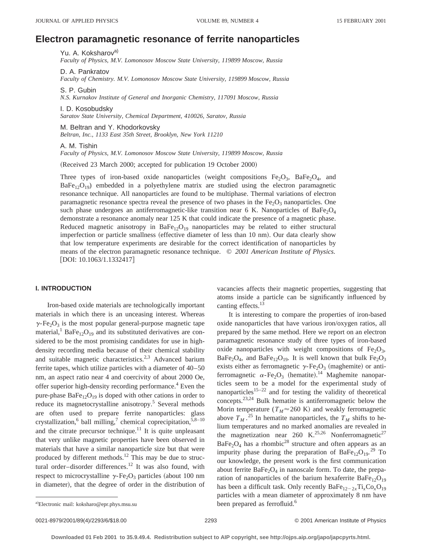# **Electron paramagnetic resonance of ferrite nanoparticles**

Yu. A. Koksharov<sup>a)</sup>

*Faculty of Physics, M.V. Lomonosov Moscow State University, 119899 Moscow, Russia*

D. A. Pankratov

*Faculty of Chemistry. M.V. Lomonosov Moscow State University, 119899 Moscow, Russia*

S. P. Gubin

*N.S. Kurnakov Institute of General and Inorganic Chemistry, 117091 Moscow, Russia*

I. D. Kosobudsky

*Saratov State University, Chemical Department, 410026, Saratov, Russia*

M. Beltran and Y. Khodorkovsky *Beltran, Inc., 1133 East 35th Street, Brooklyn, New York 11210*

A. M. Tishin

*Faculty of Physics, M.V. Lomonosov Moscow State University, 119899 Moscow, Russia*

(Received 23 March 2000; accepted for publication 19 October 2000)

Three types of iron-based oxide nanoparticles (weight compositions  $Fe<sub>2</sub>O<sub>3</sub>$ , BaFe<sub>2</sub>O<sub>4</sub>, and  $BaFe_{12}O_{19}$ ) embedded in a polyethylene matrix are studied using the electron paramagnetic resonance technique. All nanoparticles are found to be multiphase. Thermal variations of electron paramagnetic resonance spectra reveal the presence of two phases in the  $Fe<sub>2</sub>O<sub>3</sub>$  nanoparticles. One such phase undergoes an antiferromagnetic-like transition near 6 K. Nanoparticles of  $BaFe<sub>2</sub>O<sub>4</sub>$ demonstrate a resonance anomaly near 125 K that could indicate the presence of a magnetic phase. Reduced magnetic anisotropy in BaFe<sub>12</sub>O<sub>19</sub> nanoparticles may be related to either structural imperfection or particle smallness (effective diameter of less than 10 nm). Our data clearly show that low temperature experiments are desirable for the correct identification of nanoparticles by means of the electron paramagnetic resonance technique. © *2001 American Institute of Physics.*  $[$ DOI: 10.1063/1.1332417 $]$ 

## **I. INTRODUCTION**

Iron-based oxide materials are technologically important materials in which there is an unceasing interest. Whereas  $\gamma$ -Fe<sub>2</sub>O<sub>3</sub> is the most popular general-purpose magnetic tape material,<sup>1</sup> BaFe<sub>12</sub>O<sub>19</sub> and its substituted derivatives are considered to be the most promising candidates for use in highdensity recording media because of their chemical stability and suitable magnetic characteristics.<sup>2,3</sup> Advanced barium ferrite tapes, which utilize particles with a diameter of 40–50 nm, an aspect ratio near 4 and coercivity of about 2000 Oe, offer superior high-density recording performance.<sup>4</sup> Even the pure-phase  $BaFe_{12}O_{19}$  is doped with other cations in order to reduce its magnetocrystalline anisotropy.<sup>5</sup> Several methods are often used to prepare ferrite nanoparticles: glass crystallization,<sup>6</sup> ball milling,<sup>7</sup> chemical coprecipitation,<sup>5,8-10</sup> and the citrate precursor technique.<sup>11</sup> It is quite unpleasant that very unlike magnetic properties have been observed in materials that have a similar nanoparticle size but that were produced by different methods.12 This may be due to structural order-disorder differences.<sup>12</sup> It was also found, with respect to microcrystalline  $\gamma$ -Fe<sub>2</sub>O<sub>3</sub> particles (about 100 nm in diameter), that the degree of order in the distribution of

vacancies affects their magnetic properties, suggesting that atoms inside a particle can be significantly influenced by canting effects.<sup>13</sup>

It is interesting to compare the properties of iron-based oxide nanoparticles that have various iron/oxygen ratios, all prepared by the same method. Here we report on an electron paramagnetic resonance study of three types of iron-based oxide nanoparticles with weight compositions of  $Fe<sub>2</sub>O<sub>3</sub>$ , BaFe<sub>2</sub>O<sub>4</sub>, and BaFe<sub>12</sub>O<sub>19</sub>. It is well known that bulk Fe<sub>2</sub>O<sub>3</sub> exists either as ferromagnetic  $\gamma$ -Fe<sub>2</sub>O<sub>3</sub> (maghemite) or antiferromagnetic  $\alpha$ -Fe<sub>2</sub>O<sub>3</sub> (hematite).<sup>14</sup> Maghemite nanoparticles seem to be a model for the experimental study of nanoparticles<sup>15–22</sup> and for testing the validity of theoretical concepts.23,24 Bulk hematite is antiferromagnetic below the Morin temperature ( $T_M \approx 260$  K) and weakly ferromagnetic above  $T_M$ .<sup>25</sup> In hematite nanoparticles, the  $T_M$  shifts to helium temperatures and no marked anomalies are revealed in the magnetization near 260 K.<sup>25,26</sup> Nonferromagnetic<sup>27</sup>  $BaFe<sub>2</sub>O<sub>4</sub>$  has a rhombic<sup>28</sup> structure and often appears as an impurity phase during the preparation of  $BaFe_{12}O_{19}$ .<sup>29</sup> To our knowledge, the present work is the first communication about ferrite  $BaFe<sub>2</sub>O<sub>4</sub>$  in nanoscale form. To date, the preparation of nanoparticles of the barium hexaferrite  $BaFe_{12}O_{19}$ has been a difficult task. Only recently  $BaFe_{12-2x}Ti_xCo_xO_{19}$ particles with a mean diameter of approximately 8 nm have a)Electronic mail: koksharo@epr.phys.msu.su been prepared as ferrofluid.<sup>6</sup>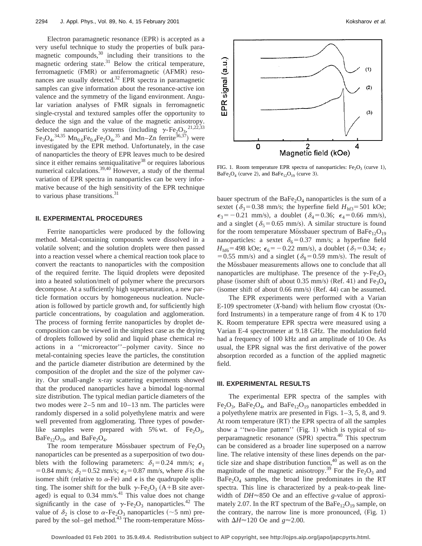Electron paramagnetic resonance (EPR) is accepted as a very useful technique to study the properties of bulk paramagnetic compounds, $30$  including their transitions to the magnetic ordering state. $31$  Below the critical temperature, ferromagnetic (FMR) or antiferromagnetic (AFMR) resonances are usually detected.<sup>32</sup> EPR spectra in paramagnetic samples can give information about the resonance-active ion valence and the symmetry of the ligand environment. Angular variation analyses of FMR signals in ferromagnetic single-crystal and textured samples offer the opportunity to deduce the sign and the value of the magnetic anisotropy. Selected nanoparticle systems (including  $\gamma$ -Fe<sub>2</sub>O<sub>3</sub>,<sup>21,22,33</sup>  $\text{Fe}_3\text{O}_4$ ,  $^{34,35}$   $\text{Mn}_{0.6}\text{Fe}_{0.4}\text{Fe}_2\text{O}_4$ ,  $^{35}$  and  $\text{Mn-Zn}$  ferrite  $^{36,37}$ ) were investigated by the EPR method. Unfortunately, in the case of nanoparticles the theory of EPR leaves much to be desired since it either remains semiqualitative $38$  or requires laborious numerical calculations.<sup>39,40</sup> However, a study of the thermal variation of EPR spectra in nanoparticles can be very informative because of the high sensitivity of the EPR technique to various phase transitions.<sup>31</sup>

### **II. EXPERIMENTAL PROCEDURES**

Ferrite nanoparticles were produced by the following method. Metal-containing compounds were dissolved in a volatile solvent; and the solution droplets were then passed into a reaction vessel where a chemical reaction took place to convert the reactants to nanoparticles with the composition of the required ferrite. The liquid droplets were deposited into a heated solution/melt of polymer where the precursors decompose. At a sufficiently high supersaturation, a new particle formation occurs by homogeneous nucleation. Nucleation is followed by particle growth and, for sufficiently high particle concentrations, by coagulation and agglomeration. The process of forming ferrite nanoparticles by droplet decomposition can be viewed in the simplest case as the drying of droplets followed by solid and liquid phase chemical reactions in a ''microreactor''–polymer cavity. Since no metal-containing species leave the particles, the constitution and the particle diameter distribution are determined by the composition of the droplet and the size of the polymer cavity. Our small-angle x-ray scattering experiments showed that the produced nanoparticles have a bimodal log-normal size distribution. The typical median particle diameters of the two modes were 2–5 nm and 10–13 nm. The particles were randomly dispersed in a solid polyethylene matrix and were well prevented from agglomerating. Three types of powderlike samples were prepared with 5% wt. of  $Fe<sub>2</sub>O<sub>3</sub>$ ,  $BaFe<sub>12</sub>O<sub>19</sub>$ , and  $BaFe<sub>2</sub>O<sub>4</sub>$ .

The room temperature Mössbauer spectrum of  $Fe<sub>2</sub>O<sub>3</sub>$ nanoparticles can be presented as a superposition of two doublets with the following parameters:  $\delta_1 = 0.24$  mm/s;  $\epsilon_1$ = 0.84 mm/s;  $\delta_2$  = 0.52 mm/s;  $\epsilon_2$  = 0.87 mm/s, where  $\delta$  is the isomer shift (relative to  $\alpha$ -Fe) and  $\epsilon$  is the quadrupole splitting. The isomer shift for the bulk  $\gamma$ -Fe<sub>2</sub>O<sub>3</sub> (A+B site averaged) is equal to  $0.34$  mm/s.<sup>41</sup> This value does not change significantly in the case of  $\gamma$ -Fe<sub>2</sub>O<sub>3</sub> nanoparticles.<sup>42</sup> The value of  $\delta_2$  is close to  $\alpha$ -Fe<sub>2</sub>O<sub>3</sub> nanoparticles (~5 nm) prepared by the sol–gel method. $43$  The room-temperature Moss-



FIG. 1. Room temperature EPR spectra of nanoparticles:  $Fe<sub>2</sub>O<sub>3</sub>$  (curve 1),  $BaFe<sub>2</sub>O<sub>4</sub>$  (curve 2), and  $BaFe<sub>12</sub>O<sub>19</sub>$  (curve 3).

bauer spectrum of the  $BaFe<sub>2</sub>O<sub>4</sub>$  nanoparticles is the sum of a sextet ( $\delta_3$ =0.38 mm/s; the hyperfine field *H*<sub>hf3</sub>=501 kOe;  $\epsilon_3 = -0.21$  mm/s), a doublet ( $\delta_4 = 0.36$ ;  $\epsilon_4 = 0.66$  mm/s), and a singlet ( $\delta$ <sub>5</sub>=0.65 mm/s). A similar structure is found for the room temperature Mössbauer spectrum of  $BaFe_{12}O_{19}$ nanoparticles: a sextet  $\delta_6 = 0.37$  mm/s; a hyperfine field  $H_{\text{hfs}}$ =498 kOe;  $\epsilon_6$ = -0.22 mm/s), a doublet ( $\delta_7$ =0.34;  $\epsilon_7$ = 0.55 mm/s) and a singlet ( $\delta_8$ = 0.59 mm/s). The result of the Mössbauer measurements allows one to conclude that all nanoparticles are multiphase. The presence of the  $\gamma$ -Fe<sub>2</sub>O<sub>3</sub> phase (isomer shift of about 0.35 mm/s) (Ref. 41) and  $Fe<sub>3</sub>O<sub>4</sub>$  $(i$ somer shift of about 0.66 mm/s)  $(Ref. 44)$  can be assumed.

The EPR experiments were performed with a Varian  $E-109$  spectrometer  $(X$ -band) with helium flow cryostat  $(Ox$ ford Instruments) in a temperature range of from  $4 K$  to  $170$ K. Room temperature EPR spectra were measured using a Varian E-4 spectrometer at 9.18 GHz. The modulation field had a frequency of 100 kHz and an amplitude of 10 Oe. As usual, the EPR signal was the first derivative of the power absorption recorded as a function of the applied magnetic field.

#### **III. EXPERIMENTAL RESULTS**

The experimental EPR spectra of the samples with  $Fe<sub>2</sub>O<sub>3</sub>$ , BaFe<sub>2</sub>O<sub>4</sub>, and BaFe<sub>12</sub>O<sub>19</sub> nanoparticles embedded in a polyethylene matrix are presented in Figs. 1–3, 5, 8, and 9. At room temperature  $(RT)$  the EPR spectra of all the samples show a "two-line pattern" (Fig. 1) which is typical of superparamagnetic resonance  $(SPR)$  spectra.<sup>40</sup> This spectrum can be considered as a broader line superposed on a narrow line. The relative intensity of these lines depends on the particle size and shape distribution function,  $40$  as well as on the magnitude of the magnetic anisotropy.<sup>39</sup> For the  $Fe<sub>2</sub>O<sub>3</sub>$  and  $BaFe<sub>2</sub>O<sub>4</sub>$  samples, the broad line predominates in the RT spectra. This line is characterized by a peak-to-peak linewidth of *DH*≈850 Oe and an effective *g*-value of approximately 2.07. In the RT spectrum of the  $BaFe_{12}O_{19}$  sample, on the contrary, the narrow line is more pronounced,  $(Fig. 1)$ with  $\Delta H \approx 120$  Oe and  $g \approx 2.00$ .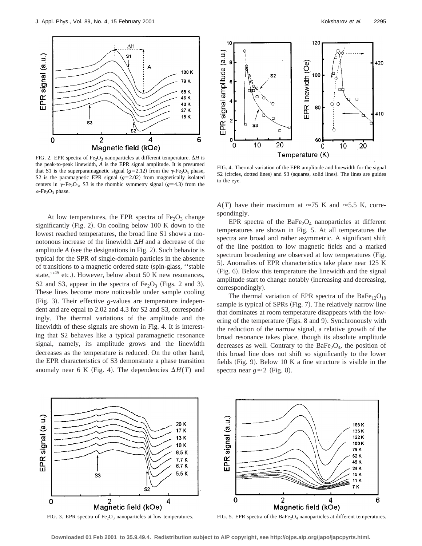

FIG. 2. EPR spectra of Fe<sub>2</sub>O<sub>3</sub> nanoparticles at different temperature.  $\Delta H$  is the peak-to-peak linewidth, *A* is the EPR signal amplitude. It is presumed that S1 is the superparamagnetic signal ( $g=2.12$ ) from the  $\gamma$ -Fe<sub>2</sub>O<sub>3</sub> phase, S2 is the paramagnetic EPR signal  $(g=2.02)$  from magnetically isolated centers in  $\gamma$ -Fe<sub>2</sub>O<sub>3</sub>, S3 is the rhombic symmetry signal ( $g=4.3$ ) from the  $\alpha$ -Fe<sub>2</sub>O<sub>3</sub> phase.

At low temperatures, the EPR spectra of  $Fe<sub>2</sub>O<sub>3</sub>$  change significantly  $(Fig. 2)$ . On cooling below 100 K down to the lowest reached temperatures, the broad line S1 shows a monotonous increase of the linewidth  $\Delta H$  and a decrease of the amplitude  $A$  (see the designations in Fig. 2). Such behavior is typical for the SPR of single-domain particles in the absence of transitions to a magnetic ordered state (spin-glass, "stable state,", $45$  etc.). However, below about 50 K new resonances, S2 and S3, appear in the spectra of  $Fe<sub>2</sub>O<sub>3</sub>$  (Figs. 2 and 3). These lines become more noticeable under sample cooling (Fig. 3). Their effective *g*-values are temperature independent and are equal to 2.02 and 4.3 for S2 and S3, correspondingly. The thermal variations of the amplitude and the linewidth of these signals are shown in Fig. 4. It is interesting that S2 behaves like a typical paramagnetic resonance signal, namely, its amplitude grows and the linewidth decreases as the temperature is reduced. On the other hand, the EPR characteristics of S3 demonstrate a phase transition anomaly near 6 K (Fig. 4). The dependencies  $\Delta H(T)$  and



FIG. 4. Thermal variation of the EPR amplitude and linewidth for the signal S2 (circles, dotted lines) and S3 (squares, solid lines). The lines are guides to the eye.

 $A(T)$  have their maximum at  $\approx 75$  K and  $\approx 5.5$  K, correspondingly.

EPR spectra of the  $BaFe<sub>2</sub>O<sub>4</sub>$  nanoparticles at different temperatures are shown in Fig. 5. At all temperatures the spectra are broad and rather asymmetric. A significant shift of the line position to low magnetic fields and a marked spectrum broadening are observed at low temperatures (Fig. 5). Anomalies of EPR characteristics take place near 125 K (Fig. 6). Below this temperature the linewidth and the signal amplitude start to change notably (increasing and decreasing, correspondingly).

The thermal variation of EPR spectra of the BaFe<sub>12</sub>O<sub>19</sub> sample is typical of SPRs (Fig. 7). The relatively narrow line that dominates at room temperature disappears with the lowering of the temperature (Figs. 8 and 9). Synchronously with the reduction of the narrow signal, a relative growth of the broad resonance takes place, though its absolute amplitude decreases as well. Contrary to the  $BaFe<sub>2</sub>O<sub>4</sub>$ , the position of this broad line does not shift so significantly to the lower fields (Fig. 9). Below 10 K a fine structure is visible in the spectra near  $g \approx 2$  (Fig. 8).



FIG. 3. EPR spectra of  $Fe<sub>2</sub>O<sub>3</sub>$  nanoparticles at low temperatures.

FIG. 5. EPR spectra of the BaFe<sub>2</sub>O<sub>4</sub> nanoparticles at different temperatures.

**Downloaded 01 Feb 2001 to 35.9.49.4. Redistribution subject to AIP copyright, see http://ojps.aip.org/japo/japcpyrts.html.**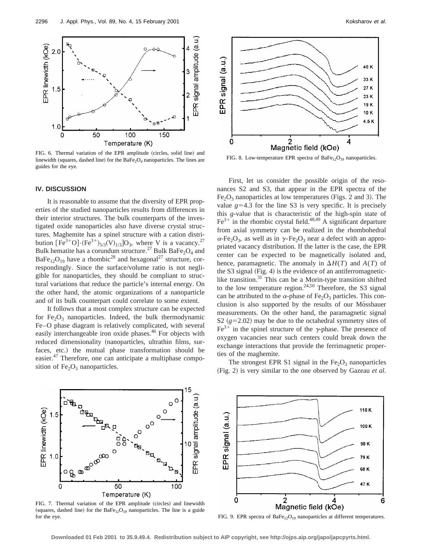

FIG. 6. Thermal variation of the EPR amplitude (circles, solid line) and linewidth (squares, dashed line) for the  $BaFe<sub>2</sub>O<sub>4</sub>$  nanoparticles. The lines are guides for the eye.

## **IV. DISCUSSION**

It is reasonable to assume that the diversity of EPR properties of the studied nanoparticles results from differences in their interior structures. The bulk counterparts of the investigated oxide nanoparticles also have diverse crystal structures. Maghemite has a spinel structure with a cation distribution  $[Fe^{3+}O] \cdot (Fe^{3+})_{5/3}(V)_{1/3}$  = 03, where V is a vacancy.<sup>27</sup> Bulk hematite has a corundum structure.<sup>27</sup> Bulk BaFe<sub>2</sub>O<sub>4</sub> and BaFe<sub>12</sub>O<sub>19</sub> have a rhombic<sup>28</sup> and hexagonal<sup>27</sup> structure, correspondingly. Since the surface/volume ratio is not negligible for nanoparticles, they should be compliant to structural variations that reduce the particle's internal energy. On the other hand, the atomic organizations of a nanoparticle and of its bulk counterpart could correlate to some extent.

It follows that a most complex structure can be expected for  $Fe<sub>2</sub>O<sub>3</sub>$  nanoparticles. Indeed, the bulk thermodynamic Fe–O phase diagram is relatively complicated, with several easily interchangeable iron oxide phases.<sup>46</sup> For objects with reduced dimensionality (nanoparticles, ultrathin films, surfaces, etc.) the mutual phase transformation should be easier.<sup>47</sup> Therefore, one can anticipate a multiphase composition of  $Fe<sub>2</sub>O<sub>3</sub>$  nanoparticles.



FIG. 8. Low-temperature EPR spectra of  $BaFe_{12}O_{19}$  nanoparticles.

First, let us consider the possible origin of the resonances S2 and S3, that appear in the EPR spectra of the  $Fe<sub>2</sub>O<sub>3</sub>$  nanoparticles at low temperatures (Figs. 2 and 3). The value  $g=4.3$  for the line S3 is very specific. It is precisely this *g*-value that is characteristic of the high-spin state of  $Fe^{3+}$  in the rhombic crystal field.<sup>48,49</sup> A significant departure from axial symmetry can be realized in the rhombohedral  $\alpha$ -Fe<sub>2</sub>O<sub>3</sub>, as well as in  $\gamma$ -Fe<sub>2</sub>O<sub>3</sub> near a defect with an appropriated vacancy distribution. If the latter is the case, the EPR center can be expected to be magnetically isolated and, hence, paramagnetic. The anomaly in  $\Delta H(T)$  and  $A(T)$  of the S3 signal  $(Fig. 4)$  is the evidence of an antiferromagneticlike transition. $31$  This can be a Morin-type transition shifted to the low temperature region.<sup>24,50</sup> Therefore, the S3 signal can be attributed to the  $\alpha$ -phase of Fe<sub>2</sub>O<sub>3</sub> particles. This conclusion is also supported by the results of our Mössbauer measurements. On the other hand, the paramagnetic signal S2  $(g=2.02)$  may be due to the octahedral symmetry sites of  $Fe<sup>3+</sup>$  in the spinel structure of the  $\gamma$ -phase. The presence of oxygen vacancies near such centers could break down the exchange interactions that provide the ferrimagnetic properties of the maghemite.

The strongest EPR S1 signal in the  $Fe<sub>2</sub>O<sub>3</sub>$  nanoparticles (Fig. 2) is very similar to the one observed by Gazeau *et al.* 



FIG. 7. Thermal variation of the EPR amplitude (circles) and linewidth (squares, dashed line) for the  $BaFe_{12}O_{19}$  nanoparticles. The line is a guide for the eye.



FIG. 9. EPR spectra of  $BaFe_{12}O_{19}$  nanoparticles at different temperatures.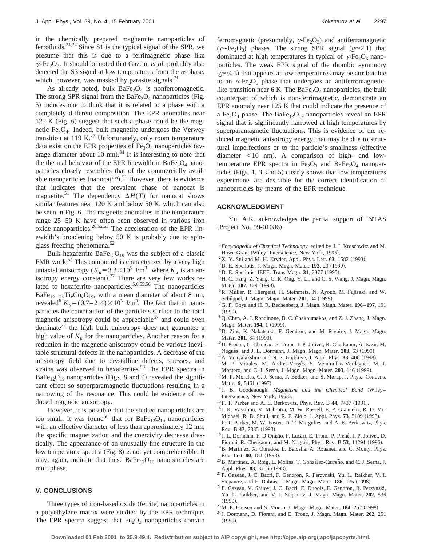in the chemically prepared maghemite nanoparticles of ferrofluids.<sup>21,22</sup> Since S1 is the typical signal of the SPR, we presume that this is due to a ferrimagnetic phase like  $\gamma$ -Fe<sub>2</sub>O<sub>3</sub>. It should be noted that Gazeau *et al.* probably also detected the S3 signal at low temperatures from the  $\alpha$ -phase, which, however, was masked by parasite signals. $^{21}$ 

As already noted, bulk  $BaFe<sub>2</sub>O<sub>4</sub>$  is nonferromagnetic. The strong SPR signal from the BaFe<sub>2</sub>O<sub>4</sub> nanoparticles (Fig. 5) induces one to think that it is related to a phase with a completely different composition. The EPR anomalies near  $125 K$  (Fig. 6) suggest that such a phase could be the magnetic  $Fe<sub>3</sub>O<sub>4</sub>$ . Indeed, bulk magnetite undergoes the Verwey transition at 119 K. $^{27}$  Unfortunately, only room temperature data exist on the EPR properties of  $Fe<sub>3</sub>O<sub>4</sub>$  nanoparticles (average diameter about 10 nm).<sup>34</sup> It is interesting to note that the thermal behavior of the EPR linewidth in BaFe<sub>2</sub>O<sub>4</sub> nanoparticles closely resembles that of the commercially available nanoparticles (nanocat<sup>TM</sup>).<sup>51</sup> However, there is evidence that indicates that the prevalent phase of nanocat is magnetite.<sup>51</sup> The dependency  $\Delta H(T)$  for nanocat shows similar features near 120 K and below 50 K, which can also be seen in Fig. 6. The magnetic anomalies in the temperature range 25–50 K have often been observed in various iron oxide nanoparticles.<sup>20,52,53</sup> The acceleration of the EPR linewidth's broadening below 50 K is probably due to spinglass freezing phenomena.<sup>52</sup>

Bulk hexaferrite  $BaFe_{12}O_{19}$  was the subject of a classic FMR work.<sup>54</sup> This compound is characterized by a very high uniaxial anisotropy ( $K_u = 3.3 \times 10^5$  J/m<sup>3</sup>, where  $K_u$  is an anisotropy energy constant).<sup>27</sup> There are very few works related to hexaferrite nanoparticles.<sup>5,6,55,56</sup> The nanoparticles  $BaFe_{12-2x}Ti_xCo_xO_{19}$ , with a mean diameter of about 8 nm, revealed<sup>6</sup>  $K_u = (0.7 - 2.4) \times 10^5$  J/m<sup>3</sup>. The fact that in nanoparticles the contribution of the particle's surface to the total magnetic anisotropy could be appreciable  $57$  and could even dominate $^{22}$  the high bulk anisotropy does not guarantee a high value of  $K_u$  for the nanoparticles. Another reason for a reduction in the magnetic anisotropy could be various inevitable structural defects in the nanoparticles. A decrease of the anisotropy field due to crystalline defects, stresses, and strains was observed in hexaferrites.<sup>58</sup> The EPR spectra in  $BaFe<sub>12</sub>O<sub>19</sub>$  nanoparticles (Figs. 8 and 9) revealed the significant effect so superparamagnetic fluctuations resulting in a narrowing of the resonance. This could be evidence of reduced magnetic anisotropy.

However, it is possible that the studied nanoparticles are too small. It was found<sup>56</sup> that for  $BaFe_{12}O_{19}$  nanoparticles with an effective diameter of less than approximately 12 nm, the specific magnetization and the coercivity decrease drastically. The appearance of an unusually fine structure in the low temperature spectra (Fig. 8) is not yet comprehensible. It may, again, indicate that these  $BaFe_{12}O_{19}$  nanoparticles are multiphase.

#### **V. CONCLUSIONS**

Three types of iron-based oxide (ferrite) nanoparticles in a polyethylene matrix were studied by the EPR technique. The EPR spectra suggest that  $Fe<sub>2</sub>O<sub>3</sub>$  nanoparticles contain ferromagnetic (presumably,  $\gamma$ -Fe<sub>2</sub>O<sub>3</sub>) and antiferromagnetic  $(\alpha$ -Fe<sub>2</sub>O<sub>3</sub>) phases. The strong SPR signal  $(g \approx 2.1)$  that dominated at high temperatures in typical of  $\gamma$ -Fe<sub>2</sub>O<sub>3</sub> nanoparticles. The weak EPR signal of the rhombic symmetry  $(g \approx 4.3)$  that appears at low temperatures may be attributable to an  $\alpha$ -Fe<sub>2</sub>O<sub>3</sub> phase that undergoes an antiferromagneticlike transition near 6 K. The BaFe<sub>2</sub>O<sub>4</sub> nanoparticles, the bulk counterpart of which is non-ferrimagnetic, demonstrate an EPR anomaly near 125 K that could indicate the presence of a Fe<sub>2</sub>O<sub>4</sub> phase. The BaFe<sub>12</sub>O<sub>19</sub> nanoparticles reveal an EPR signal that is significantly narrowed at high temperatures by superparamagnetic fluctuations. This is evidence of the reduced magnetic anisotropy energy that may be due to structural imperfections or to the particle's smallness (effective diameter  $\leq 10$  nm). A comparison of high- and lowtemperature EPR spectra in  $Fe<sub>2</sub>O<sub>3</sub>$  and BaFe<sub>2</sub>O<sub>4</sub> nanoparticles (Figs. 1, 3, and 5) clearly shows that low temperatures experiments are desirable for the correct identification of nanoparticles by means of the EPR technique.

#### **ACKNOWLEDGMENT**

Yu. A.K. acknowledges the partial support of INTAS (Project No. 99-01086).

- <sup>1</sup>*Encyclopedia of Chemical Technology,* edited by J. I. Kroschwitz and M. Howe-Grant (Wiley–Interscience, New York, 1995).
- $2X$ . Y. Sui and M. H. Kryder, Appl. Phys. Lett. **63**, 1582 (1993).
- <sup>3</sup>D. E. Speliotis, J. Magn. Magn. Mater. **193**, 29 (1999).
- <sup>4</sup>D. E. Speliotis, IEEE. Trans Magn. **31**, 2877 (1995).
- 5H. C. Fang, Z. Yang, C. K. Ong, Y. Li, and C. S. Wang, J. Magn. Magn. Mater. 187, 129 (1998).
- <sup>6</sup>R. Müller, R. Hiergeist, H. Steinmetz, N. Ayoub, M. Fujisaki, and W. Schüppel, J. Magn. Magn. Mater. **201**, 34 (1999).
- 7G. F. Goya and H. R. Rechenberg, J. Magn. Magn. Mater. **196–197**, 191  $(1999)$ .
- 8Q. Chen, A. J. Rondinone, B. C. Chakoumakos, and Z. J. Zhang, J. Magn. Magn. Mater. **194**, 1 (1999).
- <sup>9</sup>D. Zins, K. Nakatsuka, F. Gendron, and M. Rivoire, J. Magn. Magn. Mater. 201, 84 (1999).
- $^{10}$ D. Prodan, C. Chanéac, E. Tronc, J. P. Jolivet, R. Cherkaour, A. Ezzir, M. Noguès, and J. L. Dormann, J. Magn. Magn. Mater. 203, 63 (1999).
- $11$ A. Vijayalakshmi and N. S. Gajbhiye, J. Appl. Phys.  $83$ ,  $400$  (1998).
- <sup>12</sup>M. P. Morales, M. Andres-Vergés, S. Veintmillas-Verdaguer, M. I. Montero, and C. J. Serna, J. Magn. Magn. Mater. 203, 146 (1999).
- 13M. P. Morales, C. J. Serna, F. Bødker, and S. Mørup, J. Phys.: Condens. Matter 9, 5461 (1997).
- <sup>14</sup> J. B. Goodenough, *Magnetism and the Chemical Bond* (Wiley– Interscience, New York, 1963).
- <sup>15</sup> F. T. Parker and A. E. Berkowitz, Phys. Rev. B 44, 7437 (1991).
- <sup>16</sup> J. K. Vassiliou, V. Mehrotra, M. W. Russell, E. P. Giannelis, R. D. Mc-Michael, R. D. Shull, and R. F. Ziolo, J. Appl. Phys. 73, 5109 (1993).
- <sup>17</sup>F. T. Parker, M. W. Foster, D. T. Margulies, and A. E. Berkowitz, Phys. Rev. B 47, 7885 (1993).
- <sup>18</sup> J. L. Dormann, F. D'Orazio, F. Lucari, E. Tronc, P. Prené, J. P. Jolivet, D. Fiorani, R. Cherkaour, and M. Noguès, Phys. Rev. B 53, 14291 (1996).
- 19B. Martinez, X. Obrados, L. Balcells, A. Rouanet, and C. Monty, Phys.
- Rev. Lett. **80**, 181 (1998). <sup>20</sup>B. Martinez, A. Roig, E. Molins, T. González-Carreño, and C. J. Serna, J. Appl. Phys. 83, 3256 (1998).
- 21F. Gazeau, J. C. Bacri, F. Gendron, R. Perzynski, Yu. L. Raikher, V. I. Stepanov, and E. Dubois, J. Magn. Magn. Mater. **186**, 175 (1998).
- 22F. Gazeau, V. Shilov, J. C. Bacri, E. Dubois, F. Gendron, R. Perzynski, Yu. L. Raikher, and V. I. Stepanov, J. Magn. Magn. Mater. **202**, 535  $(1999)$ .
- <sup>23</sup> M. F. Hansen and S. Morup, J. Magn. Magn. Mater. **184**, 262 (1998).
- <sup>24</sup> J. Dormann, D. Fiorani, and E. Tronc, J. Magn. Magn. Mater. **202**, 251  $(1999)$ .